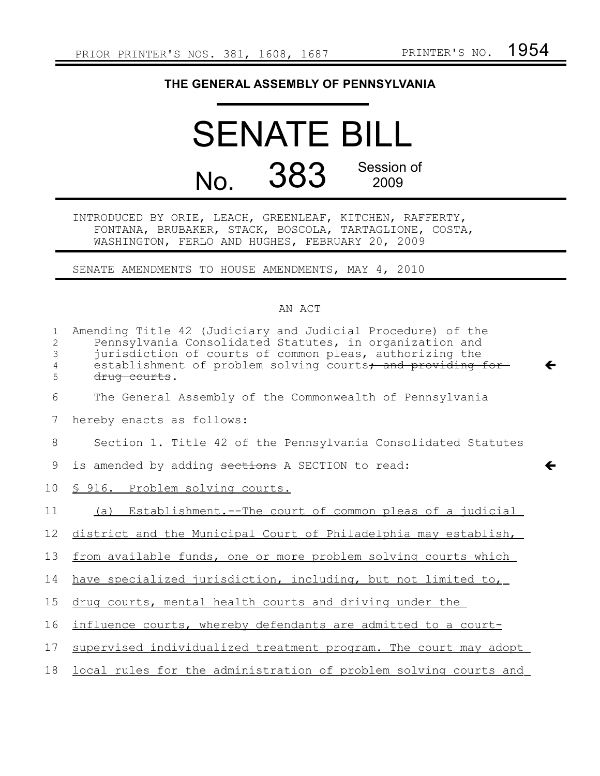## **THE GENERAL ASSEMBLY OF PENNSYLVANIA**

## SENATE BILL No. 383 Session of 2009

INTRODUCED BY ORIE, LEACH, GREENLEAF, KITCHEN, RAFFERTY, FONTANA, BRUBAKER, STACK, BOSCOLA, TARTAGLIONE, COSTA, WASHINGTON, FERLO AND HUGHES, FEBRUARY 20, 2009

SENATE AMENDMENTS TO HOUSE AMENDMENTS, MAY 4, 2010

## AN ACT

| $\mathbf{1}$<br>2<br>3<br>4<br>5 | Amending Title 42 (Judiciary and Judicial Procedure) of the<br>Pennsylvania Consolidated Statutes, in organization and<br>jurisdiction of courts of common pleas, authorizing the<br>establishment of problem solving courts, and providing for<br>←<br>drug courts. |
|----------------------------------|----------------------------------------------------------------------------------------------------------------------------------------------------------------------------------------------------------------------------------------------------------------------|
| 6                                | The General Assembly of the Commonwealth of Pennsylvania                                                                                                                                                                                                             |
| 7                                | hereby enacts as follows:                                                                                                                                                                                                                                            |
| 8                                | Section 1. Title 42 of the Pennsylvania Consolidated Statutes                                                                                                                                                                                                        |
| 9                                | is amended by adding sections A SECTION to read:<br>←                                                                                                                                                                                                                |
| 10 <sub>o</sub>                  | § 916. Problem solving courts.                                                                                                                                                                                                                                       |
| 11                               | (a) Establishment.--The court of common pleas of a judicial                                                                                                                                                                                                          |
| 12                               | district and the Municipal Court of Philadelphia may establish,                                                                                                                                                                                                      |
| 13                               | from available funds, one or more problem solving courts which                                                                                                                                                                                                       |
| 14                               | have specialized jurisdiction, including, but not limited to,                                                                                                                                                                                                        |
| 15                               | drug courts, mental health courts and driving under the                                                                                                                                                                                                              |
| 16                               | influence courts, whereby defendants are admitted to a court-                                                                                                                                                                                                        |
| 17                               | supervised individualized treatment program. The court may adopt                                                                                                                                                                                                     |
| 18                               | local rules for the administration of problem solving courts and                                                                                                                                                                                                     |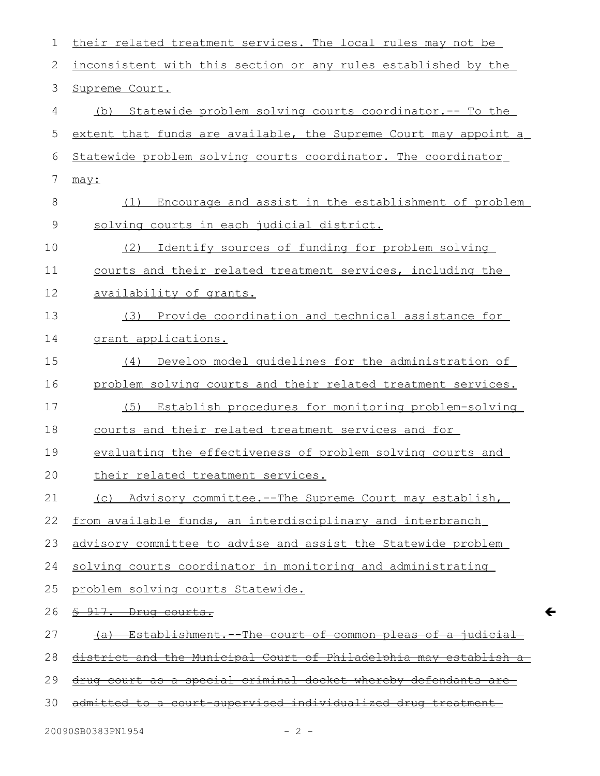| 1  | their related treatment services. The local rules may not be             |
|----|--------------------------------------------------------------------------|
| 2  | inconsistent with this section or any rules established by the           |
| 3  | Supreme Court.                                                           |
| 4  | Statewide problem solving courts coordinator.-- To the<br>(b)            |
| 5  | extent that funds are available, the Supreme Court may appoint a         |
| 6  | Statewide problem solving courts coordinator. The coordinator            |
| 7  | may:                                                                     |
| 8  | Encourage and assist in the establishment of problem<br>(1)              |
| 9  | solving courts in each judicial district.                                |
| 10 | Identify sources of funding for problem solving<br>(2)                   |
| 11 | courts and their related treatment services, including the               |
| 12 | availability of grants.                                                  |
| 13 | (3) Provide coordination and technical assistance for                    |
| 14 | grant applications.                                                      |
| 15 | Develop model quidelines for the administration of<br>(4)                |
| 16 | problem solving courts and their related treatment services.             |
| 17 | (5) Establish procedures for monitoring problem-solving                  |
| 18 | courts and their related treatment services and for                      |
| 19 | evaluating the effectiveness of problem solving courts and               |
| 20 | their related treatment services.                                        |
| 21 | (c) Advisory committee.--The Supreme Court may establish,                |
| 22 | from available funds, an interdisciplinary and interbranch               |
| 23 | advisory committee to advise and assist the Statewide problem            |
| 24 | solving courts coordinator in monitoring and administrating              |
| 25 | problem solving courts Statewide.                                        |
| 26 | \$ 917. Drug courts.                                                     |
| 27 | Establishment. The court of common pleas of a judicial                   |
| 28 | <u>district and the Municipal Court of Philadelphia may establish a-</u> |
| 29 | drug court as a special criminal docket whereby defendants are           |
| 30 | admitted to a court supervised individualized drug treatment             |

 $\leftarrow$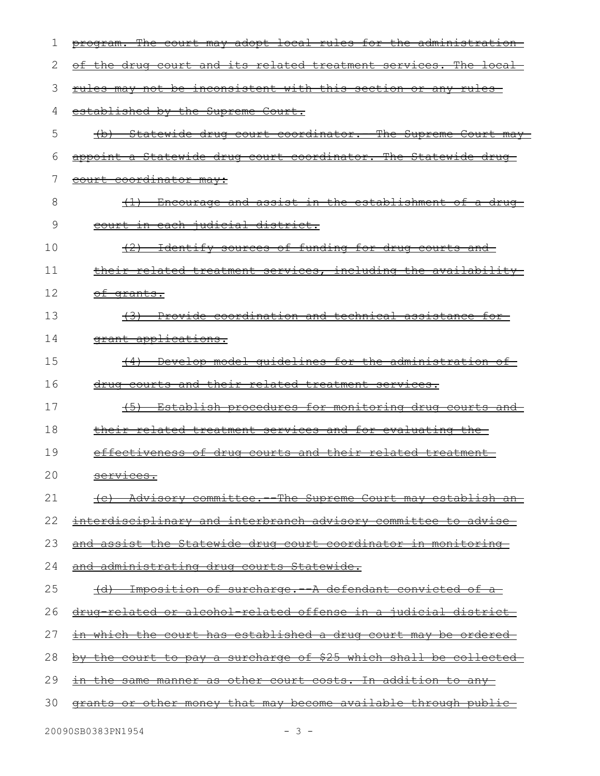| 1  | program. The court may adopt local rules for the administration        |
|----|------------------------------------------------------------------------|
| 2  | of the drug court and its related treatment services. The local-       |
| 3  | rules may not be inconsistent with this section or any rules           |
| 4  | established by the Supreme Court.                                      |
| 5  | (b) Statewide drug court coordinator. The Supreme Court may            |
| 6  | appoint a Statewide drug court coordinator. The Statewide drug-        |
| 7  | court coordinator may:                                                 |
| 8  | (1) Encourage and assist in the establishment of a drug-               |
| 9  | <del>court in each judicial district.</del>                            |
| 10 | (2) Identify sources of funding for drug courts and                    |
| 11 | their related treatment services, including the availability           |
| 12 | <del>of grants.</del>                                                  |
| 13 | <del>(3) Provide coordination and technical assistance for-</del>      |
| 14 | grant applications.                                                    |
| 15 | Develop model quidelines for the administration of<br>$\leftarrow$     |
| 16 | drug courts and their related treatment services.                      |
| 17 | $+5$ )<br>Establish procedures for monitoring drug courts and          |
| 18 | their related treatment services and for evaluating the-               |
| 19 | effectiveness of drug courts and their related treatment-              |
| 20 | <u>services.</u>                                                       |
| 21 | (c) Advisory committee. The Supreme Court may establish an             |
| 22 | <u>interdisciplinary and interbranch advisory committee to advise-</u> |
| 23 | and assist the Statewide drug court coordinator in monitoring          |
| 24 | and administrating drug courts Statewide.                              |
| 25 | (d) Imposition of surcharge. A defendant convicted of a                |
| 26 | <u>drug related or alcohol related offense in a judicial district-</u> |
| 27 | in which the court has established a drug court may be ordered         |
| 28 | by the court to pay a surcharge of \$25 which shall be collected       |
| 29 | <u>in the same manner as other court costs. In addition to any-</u>    |
| 30 | grants or other money that may become available through public-        |